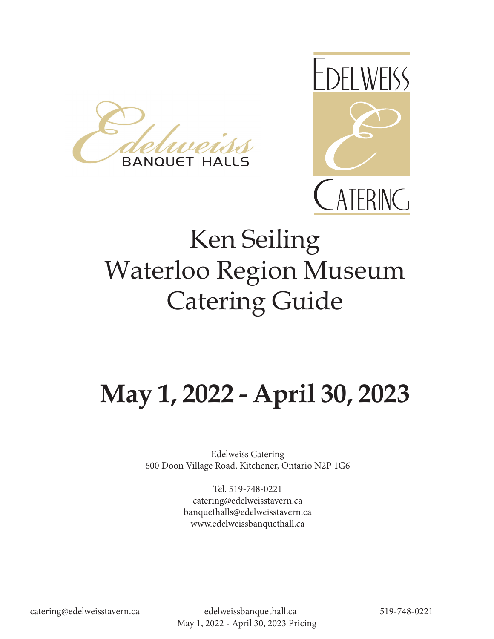



# Ken Seiling Waterloo Region Museum Catering Guide

# **May 1, 2022 - April 30, 2023**

Edelweiss Catering 600 Doon Village Road, Kitchener, Ontario N2P 1G6

> Tel. 519-748-0221 catering@edelweisstavern.ca banquethalls@edelweisstavern.ca www.edelweissbanquethall.ca

catering@edelweisstavern.ca edelweissbanquethall.ca 519-748-0221 May 1, 2022 - April 30, 2023 Pricing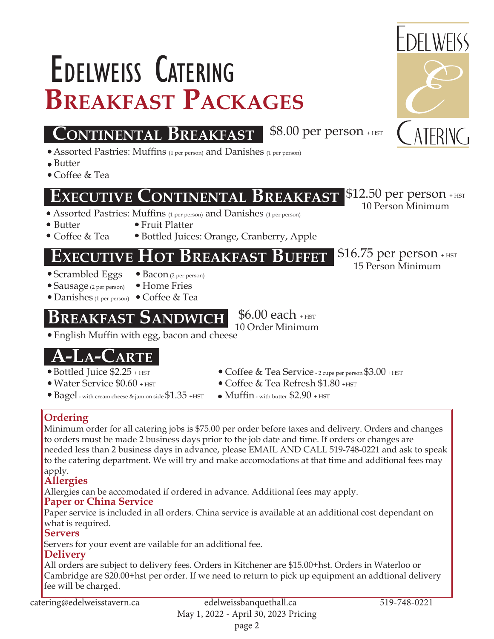# **Breakfast Packages** Edelweiss Catering

## **CONTINENTAL BREAKFAST** \$8.00 per person + HST

- Assorted Pastries: Muffins (1 per person) and Danishes (1 per person)
- Butter
- Coffee & Tea

Coffee & Tea

### **EExecutive xecutive CContinental ontinental Breakfast reakfast**

- Assorted Pastries: Muffins (1 per person) and Danishes (1 per person)
- Butter
- Fruit Platter Bottled Juices: Orange, Cranberry, Apple

### **KECUTIVE HOT BREAKFAST BUFFET** \$16.75 per person + HST

- Scrambled Eggs
- Bacon (2 per person) Home Fries
- Sausage (2 per person) Danishes (1 per person) Coffee & Tea

## **BREAKFAST SANDWICH**

 English Muffin with egg, bacon and cheese 10 Order Minimum

# **A-CARTE**

- Bottled Juice \$2.25 + HST
- Water Service \$0.60 + HST
- $\bullet$  Bagel with cream cheese & jam on side  $$1.35$  +HST
- Coffee & Tea Service 2 cups per person \$3.00 +HST
- $\bullet$  Coffee & Tea Refresh \$1.80  $_{\rm HST}$
- $\bullet$  Muffin with butter \$2.90 + HST

 $$6.00$  each  $_{\rm +HST}$ 

#### **Ordering**

Minimum order for all catering jobs is \$75.00 per order before taxes and delivery. Orders and changes to orders must be made 2 business days prior to the job date and time. If orders or changes are needed less than 2 business days in advance, please EMAIL AND CALL 519-748-0221 and ask to speak to the catering department. We will try and make accomodations at that time and additional fees may apply.

#### **Allergies**

Allergies can be accomodated if ordered in advance. Additional fees may apply.

#### **Paper or China Service**

Paper service is included in all orders. China service is available at an additional cost dependant on what is required.

#### **Servers**

Servers for your event are vailable for an additional fee.

#### **Delivery**

All orders are subject to delivery fees. Orders in Kitchener are \$15.00+hst. Orders in Waterloo or Cambridge are \$20.00+hst per order. If we need to return to pick up equipment an addtional delivery fee will be charged.

catering@edelweisstavern.ca edelweissbanquethall.ca 519-748-0221



 $|\$12.50$  per person + HST 10 Person Minimum

15 Person Minimum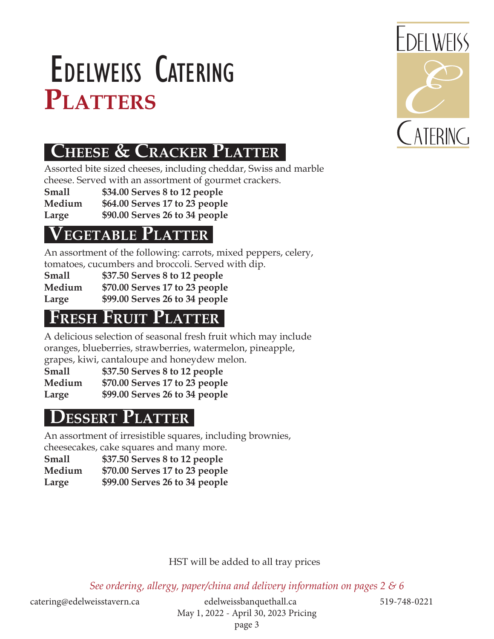# PLATTERS Edelweiss Catering



# **CHEESE & CRACKER PLATTER**

Assorted bite sized cheeses, including cheddar, Swiss and marble cheese. Served with an assortment of gourmet crackers.

**Small \$34.00 Serves 8 to 12 people**

**Medium \$64.00 Serves 17 to 23 people**

**Large \$90.00 Serves 26 to 34 people**

### **EGETABLE PLATTER**

An assortment of the following: carrots, mixed peppers, celery, tomatoes, cucumbers and broccoli. Served with dip.

|        | tomatocs, cucumbers and broccom. Derved v |
|--------|-------------------------------------------|
| Small  | \$37.50 Serves 8 to 12 people             |
| Medium | \$70.00 Serves 17 to 23 people            |
| Large  | \$99.00 Serves 26 to 34 people            |

## **FRESH FRUIT PLATTER**

A delicious selection of seasonal fresh fruit which may include oranges, blueberries, strawberries, watermelon, pineapple, grapes, kiwi, cantaloupe and honeydew melon.

**Small \$37.50 Serves 8 to 12 people Medium \$70.00 Serves 17 to 23 people Large \$99.00 Serves 26 to 34 people**

# **Dessert Platter**

An assortment of irresistible squares, including brownies, cheesecakes, cake squares and many more.

**Small \$37.50 Serves 8 to 12 people Medium \$70.00 Serves 17 to 23 people Large \$99.00 Serves 26 to 34 people**

#### HST will be added to all tray prices

*See ordering, allergy, paper/china and delivery information on pages 2 & 6*

catering@edelweisstavern.ca edelweissbanquethall.ca 519-748-0221 May 1, 2022 - April 30, 2023 Pricing page 3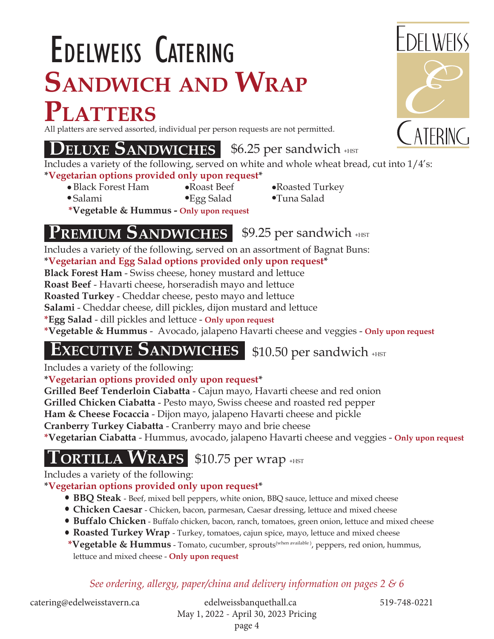# **Sandwich and Wrap Platters** Edelweiss Catering

All platters are served assorted, individual per person requests are not permitted.

### **DELUXE SANDWICHES** \$6.25 per sandwich +HST

Includes a variety of the following, served on white and whole wheat bread, cut into 1/4's: **\*Vegetarian options provided only upon request\***

- Black Forest Ham Roast Beef Roasted Turkey
	-
- 
- Salami Egg Salad Tuna Salad **\*Vegetable & Hummus - Only upon request**

### **PREMIUM SANDWICHES**

 $$9.25$  per sandwich  $_{\text{HST}}$ 

Includes a variety of the following, served on an assortment of Bagnat Buns:

**\*Vegetarian and Egg Salad options provided only upon request\***

**Black Forest Ham** - Swiss cheese, honey mustard and lettuce

**Roast Beef** - Havarti cheese, horseradish mayo and lettuce

**Roasted Turkey** - Cheddar cheese, pesto mayo and lettuce

**Salami** - Cheddar cheese, dill pickles, dijon mustard and lettuce

**\*Egg Salad** - dill pickles and lettuce - **Only upon request**

**\*Vegetable & Hummus** - Avocado, jalapeno Havarti cheese and veggies - **Only upon request**

# **EXECUTIVE SANDWICHES** \$10.50 per sandwich +HST

Includes a variety of the following:

#### **\*Vegetarian options provided only upon request\***

**Grilled Beef Tenderloin Ciabatta** - Cajun mayo, Havarti cheese and red onion

**Grilled Chicken Ciabatta** - Pesto mayo, Swiss cheese and roasted red pepper

**Ham & Cheese Focaccia** - Dijon mayo, jalapeno Havarti cheese and pickle

**Cranberry Turkey Ciabatta** - Cranberry mayo and brie cheese

**\*Vegetarian Ciabatta** - Hummus, avocado, jalapeno Havarti cheese and veggies - **Only upon request**

 $\textbf{T}$ ORTILLA  $\textbf{W}$ RAPS \$10.75 per wrap +HST

Includes a variety of the following:

#### **\*Vegetarian options provided only upon request\***

- **BBQ Steak**  Beef, mixed bell peppers, white onion, BBQ sauce, lettuce and mixed cheese
- **Chicken Caesar** Chicken, bacon, parmesan, Caesar dressing, lettuce and mixed cheese
- **Buffalo Chicken** Buffalo chicken, bacon, ranch, tomatoes, green onion, lettuce and mixed cheese
- **Roasted Turkey Wrap** Turkey, tomatoes, cajun spice, mayo, lettuce and mixed cheese

 **\*Vegetable & Hummus** - Tomato, cucumber, sprouts(when available ), peppers, red onion, hummus, lettuce and mixed cheese - **Only upon request**

*See ordering, allergy, paper/china and delivery information on pages 2 & 6*

catering@edelweisstavern.ca edelweissbanquethall.ca 519-748-0221 May 1, 2022 - April 30, 2023 Pricing page 4

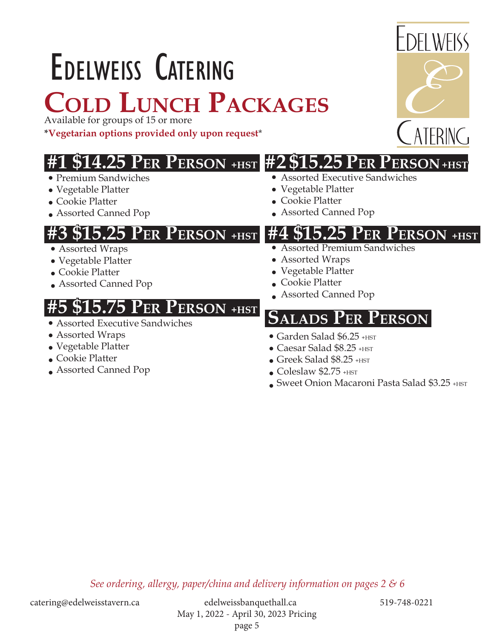# Edelweiss Catering **Cold Lunch Packages**

Available for groups of 15 or more

**\*Vegetarian options provided only upon request**\*

# **#1 \$14.25 Per Person +HST #2 \$15.25 Per Person +HST**

- Premium Sandwiches
- Vegetable Platter
- Cookie Platter
- Assorted Canned Pop

### **#3 \$15.25 Per Person +HST #4 \$15.25 Per Person +HST**

- Assorted Wraps
- Vegetable Platter
- Cookie Platter
- Assorted Canned Pop

## **5.75 PER PERSON +HST**

- Assorted Executive Sandwiches
- Assorted Wraps
- Vegetable Platter
- Cookie Platter
- Assorted Canned Pop
- Assorted Executive Sandwiches
- Vegetable Platter
- Cookie Platter
- Assorted Canned Pop

- Assorted Premium Sandwiches
- Assorted Wraps
- Vegetable Platter
- Cookie Platter
- Assorted Canned Pop

### **SSalads Per Person**

- Garden Salad \$6.25 +HST
- $\bullet$  Caesar Salad \$8.25  $+$ HST
- Greek Salad \$8.25 +HST
- $\bullet$  Coleslaw \$2.75  $+$ HST
- Sweet Onion Macaroni Pasta Salad \$3.25 +HST

*See ordering, allergy, paper/china and delivery information on pages 2 & 6*

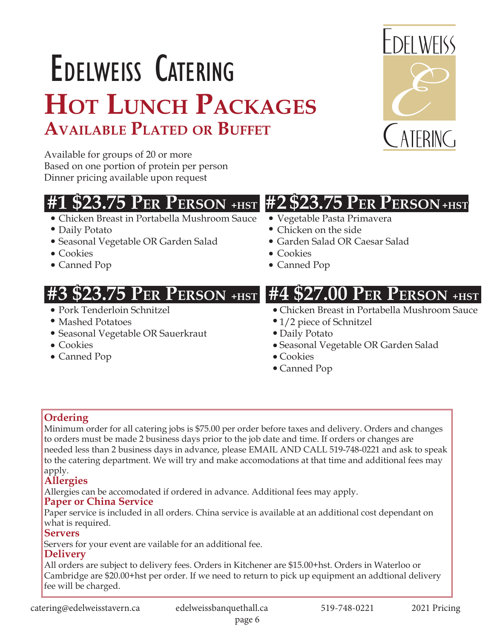# Edelweiss Catering **Hot Lunch Packages Available Plated or Buffet**

Available for groups of 20 or more Based on one portion of protein per person Dinner pricing available upon request

# **#1 \$23.75 Per Person +HST #2 \$23.75 Per Person +HST**

- Chicken Breast in Portabella Mushroom Sauce
- Daily Potato
- Seasonal Vegetable OR Garden Salad
- Cookies
- Canned Pop

- Pork Tenderloin Schnitzel
- Mashed Potatoes
- Seasonal Vegetable OR Sauerkraut
- Cookies
- Canned Pop
- Vegetable Pasta Primavera
- Chicken on the side
- Garden Salad OR Caesar Salad
- Cookies
- Canned Pop

# **#3 \$23.75 Per Person +HST #4 \$27.00 Per Person +HST**

- Chicken Breast in Portabella Mushroom Sauce
- 1/2 piece of Schnitzel
- Daily Potato
- Seasonal Vegetable OR Garden Salad
- Cookies
- Canned Pop

### **Ordering**

Minimum order for all catering jobs is \$75.00 per order before taxes and delivery. Orders and changes to orders must be made 2 business days prior to the job date and time. If orders or changes are needed less than 2 business days in advance, please EMAIL AND CALL 519-748-0221 and ask to speak to the catering department. We will try and make accomodations at that time and additional fees may apply.

### **Allergies**

Allergies can be accomodated if ordered in advance. Additional fees may apply.

#### **Paper or China Service**

Paper service is included in all orders. China service is available at an additional cost dependant on what is required.

#### **Servers**

Servers for your event are vailable for an additional fee.

### **Delivery**

All orders are subject to delivery fees. Orders in Kitchener are \$15.00+hst. Orders in Waterloo or Cambridge are \$20.00+hst per order. If we need to return to pick up equipment an addtional delivery fee will be charged.